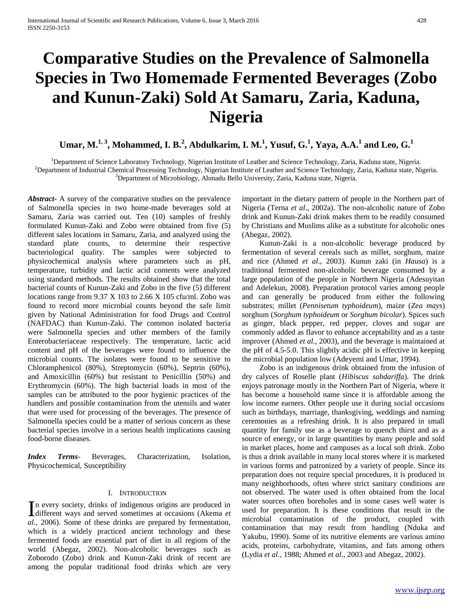# **Comparative Studies on the Prevalence of Salmonella Species in Two Homemade Fermented Beverages (Zobo and Kunun-Zaki) Sold At Samaru, Zaria, Kaduna, Nigeria**

# **Umar, M.1, 3, Mohammed, I. B.<sup>2</sup> , Abdulkarim, I. M.<sup>1</sup> , Yusuf, G.<sup>1</sup> , Yaya, A.A.<sup>1</sup> and Leo, G.<sup>1</sup>**

<sup>1</sup>Department of Science Laboratory Technology, Nigerian Institute of Leather and Science Technology, Zaria, Kaduna state, Nigeria. <sup>2</sup>Department of Industrial Chemical Processing Technology, Nigerian Institute of Leather and Science Technology, Zaria, Kaduna state, Nigeria. <sup>3</sup>Department of Microbiology, Ahmadu Bello University, Zaria, Kaduna state, Nigeria.

*Abstract***-** A survey of the comparative studies on the prevalence of Salmonella species in two home-made beverages sold at Samaru, Zaria was carried out. Ten (10) samples of freshly formulated Kunun-Zaki and Zobo were obtained from five (5) different sales locations in Samaru, Zaria, and analyzed using the standard plate counts, to determine their respective bacteriological quality. The samples were subjected to physicochemical analysis where parameters such as pH, temperature, turbidity and lactic acid contents were analyzed using standard methods. The results obtained show that the total bacterial counts of Kunun-Zaki and Zobo in the five (5) different locations range from 9.37 X 103 to 2.66 X 105 cfu/ml. Zobo was found to record more microbial counts beyond the safe limit given by National Administration for food Drugs and Control (NAFDAC) than Kunun-Zaki. The common isolated bacteria were Salmonella species and other members of the family Enterobacteriaceae respectively. The temperature, lactic acid content and pH of the beverages were found to influence the microbial counts. The isolates were found to be sensitive to Chloramphenicol (80%), Streptomycin (60%), Septrin (60%), and Amoxicillin (60%) but resistant to Penicillin (50%) and Erythromycin (60%). The high bacterial loads in most of the samples can be attributed to the poor hygienic practices of the handlers and possible contamination from the utensils and water that were used for processing of the beverages. The presence of Salmonella species could be a matter of serious concern as these bacterial species involve in a serious health implications causing food-borne diseases.

*Index Terms*- Beverages, Characterization, Isolation, Physicochemical, Susceptibility

# I. INTRODUCTION

n every society, drinks of indigenous origins are produced in In every society, drinks of indigenous origins are produced in different ways and served sometimes at occasions (Akema *et al.,* 2006). Some of these drinks are prepared by fermentation, which is a widely practiced ancient technology and these fermented foods are essential part of diet in all regions of the world (Abegaz, 2002). Non-alcoholic beverages such as Zoborodo (Zobo) drink and Kunun-Zaki drink of recent are among the popular traditional food drinks which are very

important in the dietary pattern of people in the Northern part of Nigeria (Terna *et al*., 2002a). The non-alcoholic nature of Zobo drink and Kunun-Zaki drink makes them to be readily consumed by Christians and Muslims alike as a substitute for alcoholic ones (Abegaz, 2002).

 Kunun-Zaki is a non-alcoholic beverage produced by fermentation of several cereals such as millet, sorghum, maize and rice (Ahmed *et al*., 2003). Kunun zaki (in *Hausa*) is a traditional fermented non-alcoholic beverage consumed by a large population of the people in Northern Nigeria (Adesuyitan and Adelekun*,* 2008). Preparation protocol varies among people and can generally be produced from either the following substrates; millet (*Pennisetum typhoideum*), maize (*Zea mays*) sorghum (*Sorghum typhoideum* or *Sorghum bicolar*). Spices such as ginger, black pepper, red pepper, cloves and sugar are commonly added as flavor to enhance acceptability and as a taste improver (Ahmed *et al.,* 2003), and the beverage is maintained at the pH of 4.5-5.0. This slightly acidic pH is effective in keeping the microbial population low (Adeyemi and Umar, 1994).

 Zobo is an indigenous drink obtained from the infusion of dry calyces of Roselle plant (*Hibiscus sabdariffa*). The drink enjoys patronage mostly in the Northern Part of Nigeria, where it has become a household name since it is affordable among the low income earners. Other people use it during social occasions such as birthdays, marriage, thanksgiving, weddings and naming ceremonies as a refreshing drink. It is also prepared in small quantity for family use as a beverage to quench thirst and as a source of energy, or in large quantities by many people and sold in market places, home and campuses as a local soft drink. Zobo is thus a drink available in many local stores where it is marketed in various forms and patronized by a variety of people. Since its preparation does not require special procedures, it is produced in many neighborhoods, often where strict sanitary conditions are not observed. The water used is often obtained from the local water sources often boreholes and in some cases well water is used for preparation. It is these conditions that result in the microbial contamination of the product, coupled with contamination that may result from handling (Nduka and Yakubu, 1990). Some of its nutritive elements are various amino acids, proteins, carbohydrate, vitamins, and fats among others (Lydia *et al*., 1988; Ahmed *et al*., 2003 and Abegaz, 2002).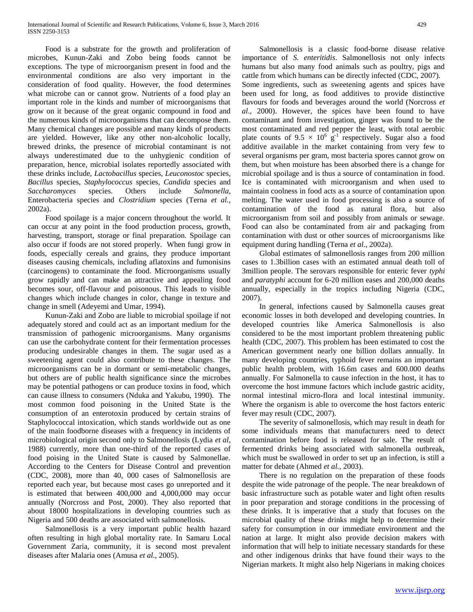Food is a substrate for the growth and proliferation of microbes, Kunun-Zaki and Zobo being foods cannot be exceptions. The type of microorganism present in food and the environmental conditions are also very important in the consideration of food quality. However, the food determines what microbe can or cannot grow. Nutrients of a food play an important role in the kinds and number of microorganisms that grow on it because of the great organic compound in food and the numerous kinds of microorganisms that can decompose them. Many chemical changes are possible and many kinds of products are yielded. However, like any other non-alcoholic locally, brewed drinks, the presence of microbial contaminant is not always underestimated due to the unhygienic condition of preparation, hence, microbial isolates reportedly associated with these drinks include, *Lactobacillus* species, *Leuconostoc* species, *Bacillus* species, *Staphylococcus* species, *Candida* species and *Saccharomyces* species. Others include *Salmonella*, Enterobacteria species and *Clostridium* species (Terna *et al.,* 2002a).

 Food spoilage is a major concern throughout the world. It can occur at any point in the food production process, growth, harvesting, transport, storage or final preparation. Spoilage can also occur if foods are not stored properly. When fungi grow in foods, especially cereals and grains, they produce important diseases causing chemicals, including aflatoxins and fumonisins (carcinogens) to contaminate the food. Microorganisms usually grow rapidly and can make an attractive and appealing food becomes sour, off-flavour and poisonous. This leads to visible changes which include changes in color, change in texture and change in smell (Adeyemi and Umar, 1994).

 Kunun-Zaki and Zobo are liable to microbial spoilage if not adequately stored and could act as an important medium for the transmission of pathogenic microorganisms. Many organisms can use the carbohydrate content for their fermentation processes producing undesirable changes in them. The sugar used as a sweetening agent could also contribute to these changes. The microorganisms can be in dormant or semi-metabolic changes, but others are of public health significance since the microbes may be potential pathogens or can produce toxins in food, which can cause illness to consumers (Nduka and Yakubu, 1990). The most common food poisoning in the United State is the consumption of an enterotoxin produced by certain strains of Staphylococcal intoxication, which stands worldwide out as one of the main foodborne diseases with a frequency in incidents of microbiological origin second only to Salmonellosis (Lydia *et al*, 1988) currently, more than one-third of the reported cases of food poising in the United State is caused by Salmonellae. According to the Centers for Disease Control and prevention (CDC, 2008), more than 40, 000 cases of Salmonellosis are reported each year, but because most cases go unreported and it is estimated that between 400,000 and 4,000,000 may occur annually (Norcross and Post, 2000). They also reported that about 18000 hospitalizations in developing countries such as Nigeria and 500 deaths are associated with salmonellosis.

 Salmonellosis is a very important public health hazard often resulting in high global mortality rate. In Samaru Local Government Zaria, community, it is second most prevalent diseases after Malaria ones (Amusa *et al.*, 2005).

 Salmonellosis is a classic food-borne disease relative importance of *S. enteritidis*. Salmonellosis not only infects humans but also many food animals such as poultry, pigs and cattle from which humans can be directly infected (CDC, 2007). Some ingredients, such as sweetening agents and spices have been used for long, as food additives to provide distinctive flavours for foods and beverages around the world (Norcross *et al*., 2000). However, the spices have been found to have contaminant and from investigation, ginger was found to be the most contaminated and red pepper the least, with total aerobic plate counts of  $9.5 \times 10^6$  g<sup>-1</sup> respectively. Sugar also a food additive available in the market containing from very few to several organisms per gram, most bacteria spores cannot grow on them, but when moisture has been absorbed there is a change for microbial spoilage and is thus a source of contamination in food. Ice is contaminated with microorganism and when used to maintain coolness in food acts as a source of contamination upon melting. The water used in food processing is also a source of contamination of the food as natural flora, but also microorganism from soil and possibly from animals or sewage. Food can also be contaminated from air and packaging from contamination with dust or other sources of microorganisms like equipment during handling (Terna *et al*., 2002a).

 Global estimates of salmonellosis ranges from 200 million cases to 1.3billion cases with an estimated annual death toll of 3million people. The serovars responsible for enteric fever *typhi* and *paratyphi* account for 6-20 million eases and 200,000 deaths annually, especially in the tropics including Nigeria (CDC, 2007).

 In general, infections caused by Salmonella causes great economic losses in both developed and developing countries. In developed countries like America Salmonellosis is also considered to be the most important problem threatening public health (CDC, 2007). This problem has been estimated to cost the American government nearly one billion dollars annually. In many developing countries, typhoid fever remains an important public health problem, with 16.6m cases and 600.000 deaths annually. For Salmonella to cause infection in the host, it has to overcome the host immune factors which include gastric acidity, normal intestinal micro-flora and local intestinal immunity. Where the organism is able to overcome the host factors enteric fever may result (CDC, 2007).

 The severity of salmonellosis, which may result in death for some individuals means that manufacturers need to detect contamination before food is released for sale. The result of fermented drinks being associated with salmonella outbreak, which must be swallowed in order to set up an infection, is still a matter for debate (Ahmed *et al.,* 2003).

 There is no regulation on the preparation of these foods despite the wide patronage of the people. The near breakdown of basic infrastructure such as potable water and light often results in poor preparation and storage conditions in the processing of these drinks. It is imperative that a study that focuses on the microbial quality of these drinks might help to determine their safety for consumption in our immediate environment and the nation at large. It might also provide decision makers with information that will help to initiate necessary standards for these and other indigenous drinks that have found their ways to the Nigerian markets. It might also help Nigerians in making choices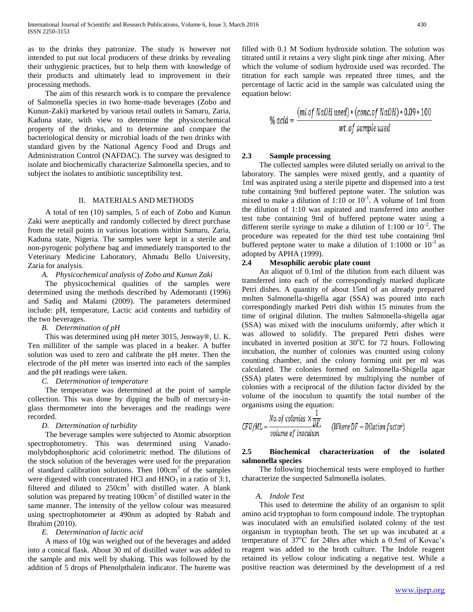as to the drinks they patronize. The study is however not intended to put out local producers of these drinks by revealing their unhygienic practices, but to help them with knowledge of their products and ultimately lead to improvement in their processing methods.

 The aim of this research work is to compare the prevalence of Salmonella species in two home-made beverages (Zobo and Kunun-Zaki) marketed by various retail outlets in Samaru, Zaria, Kaduna state, with view to determine the physicochemical property of the drinks, and to determine and compare the bacteriological density or microbial loads of the two drinks with standard given by the National Agency Food and Drugs and Administration Control (NAFDAC). The survey was designed to isolate and biochemically characterize Salmonella species, and to subject the isolates to antibiotic susceptibility test.

#### II. MATERIALS AND METHODS

 A total of ten (10) samples, 5 of each of Zobo and Kunun Zaki were aseptically and randomly collected by direct purchase from the retail points in various locations within Samaru, Zaria, Kaduna state, Nigeria. The samples were kept in a sterile and non-pyrogenic polythene bag and immediately transported to the Veterinary Medicine Laboratory, Ahmadu Bello University, Zaria for analysis.

#### *A. Physicochemical analysis of Zobo and Kunun Zaki*

 The physicochemical qualities of the samples were determined using the methods described by Ademoranti (1996) and Sadiq and Malami (2009). The parameters determined include: pH, temperature, Lactic acid contents and turbidity of the two beverages.

#### *B. Determination of pH*

 This was determined using pH meter 3015, Jenway®, U. K. Ten milliliter of the sample was placed in a beaker. A buffer solution was used to zero and calibrate the pH meter. Then the electrode of the pH meter was inserted into each of the samples and the pH readings were taken.

#### *C. Determination of temperature*

 The temperature was determined at the point of sample collection. This was done by dipping the bulb of mercury-inglass thermometer into the beverages and the readings were recorded.

#### *D. Determination of turbidity*

 The beverage samples were subjected to Atomic absorption spectrophotometry. This was determined using Vanadomolybdophosphoric acid colorimetric method. The dilutions of the stock solution of the beverages were used for the preparation of standard calibration solutions. Then 100cm<sup>3</sup> of the samples were digested with concentrated HCl and  $HNO<sub>3</sub>$  in a ratio of 3:1, filtered and diluted to  $250 \text{cm}^3$  with distilled water. A blank solution was prepared by treating  $100 \text{cm}^3$  of distilled water in the same manner. The intensity of the yellow colour was measured using spectrophotometer at 490nm as adopted by Rabah and Ibrahim (2010).

#### *E. Determination of lactic acid*

 A mass of 10g was weighed out of the beverages and added into a conical flask. About 30 ml of distilled water was added to the sample and mix well by shaking. This was followed by the addition of 5 drops of Phenolpthalein indicator. The burette was filled with 0.1 M Sodium hydroxide solution. The solution was titrated until it retains a very slight pink tinge after mixing. After which the volume of sodium hydroxide used was recorded. The titration for each sample was repeated three times, and the percentage of lactic acid in the sample was calculated using the equation below:

$$
\% \text{ acid} = \frac{(ml \text{ of NaOH used}) * (conc. \text{ of NaOH}) * 0.09 * 100}{wt. \text{ of sample used}}
$$

## **2.3 Sample processing**

 The collected samples were diluted serially on arrival to the laboratory. The samples were mixed gently, and a quantity of 1ml was aspirated using a sterile pipette and dispensed into a test tube containing 9ml buffered peptone water. The solution was mixed to make a dilution of  $1:10$  or  $10^{-1}$ . A volume of 1ml from the dilution of 1:10 was aspirated and transferred into another test tube containing 9ml of buffered peptone water using a different sterile syringe to make a dilution of 1:100 or  $10^{-2}$ . The procedure was repeated for the third test tube containing 9ml buffered peptone water to make a dilution of 1:1000 or  $10^{-3}$  as adopted by APHA (1999).

# **2.4 Mesophilic aerobic plate count**

 An aliquot of 0.1ml of the dilution from each diluent was transferred into each of the correspondingly marked duplicate Petri dishes. A quantity of about 15ml of an already prepared molten Salmonella-shigella agar (SSA) was poured into each correspondingly marked Petri dish within 15 minutes from the time of original dilution. The molten Salmonella-shigella agar (SSA) was mixed with the inoculums uniformly, after which it was allowed to solidify. The prepared Petri dishes were incubated in inverted position at  $30^{\circ}$ C for 72 hours. Following incubation, the number of colonies was counted using colony counting chamber, and the colony forming unit per ml was calculated. The colonies formed on Salmonella-Shigella agar (SSA) plates were determined by multiplying the number of colonies with a reciprocal of the dilution factor divided by the volume of the inoculum to quantify the total number of the organisms using the equation:

$$
CFU/ML = \frac{No. of colonies \times \frac{1}{DF}}{volume of inoculum}
$$
 (Where DF = Dilution factor)

# **2.5 Biochemical characterization of the isolated salmonella species**

 The following biochemical tests were employed to further characterize the suspected Salmonella isolates.

#### *A. Indole Test*

 This used to determine the ability of an organism to split amino acid tryptophan to form compound indole. The tryptophan was inoculated with an emulsified isolated colony of the test organism in tryptophan broth. The set up was incubated at a temperature of  $37^{\circ}$ C for 24hrs after which a 0.5ml of Kovac's reagent was added to the broth culture. The Indole reagent retained its yellow colour indicating a negative test. While a positive reaction was determined by the development of a red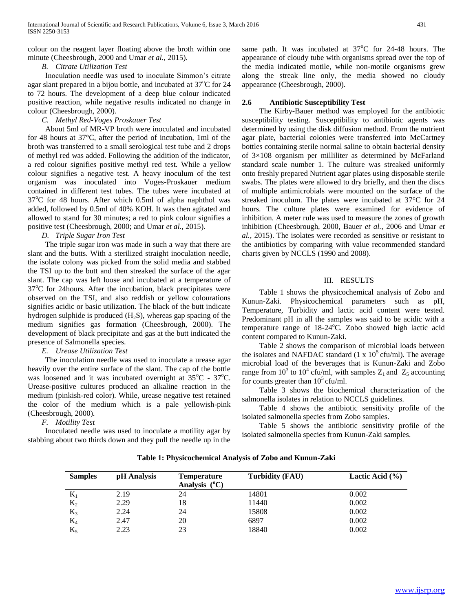colour on the reagent layer floating above the broth within one minute (Cheesbrough, 2000 and Umar *et al.,* 2015).

### *B. Citrate Utilization Test*

 Inoculation needle was used to inoculate Simmon's citrate agar slant prepared in a bijou bottle, and incubated at  $37^{\circ}$ C for 24 to 72 hours. The development of a deep blue colour indicated positive reaction, while negative results indicated no change in colour (Cheesbrough, 2000).

#### *C. Methyl Red-Voges Proskauer Test*

 About 5ml of MR-VP broth were inoculated and incubated for 48 hours at 37°C, after the period of incubation, 1ml of the broth was transferred to a small serological test tube and 2 drops of methyl red was added. Following the addition of the indicator, a red colour signifies positive methyl red test. While a yellow colour signifies a negative test. A heavy inoculum of the test organism was inoculated into Voges-Proskauer medium contained in different test tubes. The tubes were incubated at  $37^{\circ}$ C for 48 hours. After which 0.5ml of alpha naphthol was added, followed by 0.5ml of 40% KOH. It was then agitated and allowed to stand for 30 minutes; a red to pink colour signifies a positive test (Cheesbrough, 2000; and Umar *et al.,* 2015).

# *D. Triple Sugar Iron Test*

 The triple sugar iron was made in such a way that there are slant and the butts. With a sterilized straight inoculation needle, the isolate colony was picked from the solid media and stabbed the TSI up to the butt and then streaked the surface of the agar slant. The cap was left loose and incubated at a temperature of  $37^{\circ}$ C for 24 hours. After the incubation, black precipitates were observed on the TSI, and also reddish or yellow colourations signifies acidic or basic utilization. The black of the butt indicate hydrogen sulphide is produced  $(H<sub>2</sub>S)$ , whereas gap spacing of the medium signifies gas formation (Cheesbrough, 2000). The development of black precipitate and gas at the butt indicated the presence of Salmonella species.

#### *E. Urease Utilization Test*

 The inoculation needle was used to inoculate a urease agar heavily over the entire surface of the slant. The cap of the bottle was loosened and it was incubated overnight at  $35^{\circ}$ C -  $37^{\circ}$ C. Urease-positive cultures produced an alkaline reaction in the medium (pinkish-red color). While, urease negative test retained the color of the medium which is a pale yellowish-pink (Cheesbrough, 2000).

#### *F. Motility Test*

 Inoculated needle was used to inoculate a motility agar by stabbing about two thirds down and they pull the needle up in the same path. It was incubated at  $37^{\circ}$ C for 24-48 hours. The appearance of cloudy tube with organisms spread over the top of the media indicated motile, while non-motile organisms grew along the streak line only, the media showed no cloudy appearance (Cheesbrough, 2000).

#### **2.6 Antibiotic Susceptibility Test**

 The Kirby-Bauer method was employed for the antibiotic susceptibility testing. Susceptibility to antibiotic agents was determined by using the disk diffusion method. From the nutrient agar plate, bacterial colonies were transferred into McCartney bottles containing sterile normal saline to obtain bacterial density of 3×108 organism per milliliter as determined by McFarland standard scale number 1. The culture was streaked uniformly onto freshly prepared Nutrient agar plates using disposable sterile swabs. The plates were allowed to dry briefly, and then the discs of multiple antimicrobials were mounted on the surface of the streaked inoculum. The plates were incubated at 37°C for 24 hours. The culture plates were examined for evidence of inhibition. A meter rule was used to measure the zones of growth inhibition (Cheesbrough, 2000, Bauer *et al.,* 2006 and Umar *et al.,* 2015). The isolates were recorded as sensitive or resistant to the antibiotics by comparing with value recommended standard charts given by NCCLS (1990 and 2008).

# III. RESULTS

 Table 1 shows the physicochemical analysis of Zobo and Kunun-Zaki. Physicochemical parameters such as pH, Temperature, Turbidity and lactic acid content were tested. Predominant pH in all the samples was said to be acidic with a temperature range of  $18-24^{\circ}$ C. Zobo showed high lactic acid content compared to Kunun-Zaki.

 Table 2 shows the comparison of microbial loads between the isolates and NAFDAC standard  $(1 \times 10^5 \text{ c} \text{fu/ml})$ . The average microbial load of the beverages that is Kunun-Zaki and Zobo range from  $10^3$  to  $10^4$  cfu/ml, with samples  $Z_1$  and  $Z_5$  accounting for counts greater than  $10^5$  cfu/ml.

 Table 3 shows the biochemical characterization of the salmonella isolates in relation to NCCLS guidelines.

 Table 4 shows the antibiotic sensitivity profile of the isolated salmonella species from Zobo samples.

 Table 5 shows the antibiotic sensitivity profile of the isolated salmonella species from Kunun-Zaki samples.

| <b>Samples</b> | pH Analysis | Temperature<br>Analysis $(^{\circ}C)$ | Turbidity (FAU) | Lactic Acid $(\% )$ |
|----------------|-------------|---------------------------------------|-----------------|---------------------|
| $K_1$          | 2.19        | 24                                    | 14801           | 0.002               |
| $K_2$          | 2.29        | 18                                    | 11440           | 0.002               |
| $K_3$          | 2.24        | 24                                    | 15808           | 0.002               |
| $K_4$          | 2.47        | 20                                    | 6897            | 0.002               |
| $K_5$          | 2.23        | 23                                    | 18840           | 0.002               |

**Table 1: Physicochemical Analysis of Zobo and Kunun-Zaki**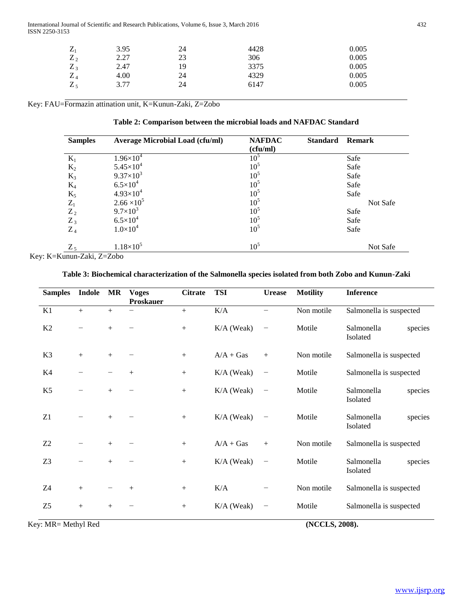International Journal of Scientific and Research Publications, Volume 6, Issue 3, March 2016 432 ISSN 2250-3153

| $\mathbf{z}$  | 3.95 | 24 | 4428 | 0.005 |
|---------------|------|----|------|-------|
| $Z_2$         | 2.27 | 23 | 306  | 0.005 |
| 7<br>$\sim$ 3 | 2.47 | 19 | 3375 | 0.005 |
| 7<br>4        | 4.00 | 24 | 4329 | 0.005 |
| $Z_5$         | 3.77 | 24 | 6147 | 0.005 |

Key: FAU=Formazin attination unit, K=Kunun-Zaki, Z=Zobo

| Table 2: Comparison between the microbial loads and NAFDAC Standard |
|---------------------------------------------------------------------|
|---------------------------------------------------------------------|

| <b>Samples</b>    | <b>Average Microbial Load (cfu/ml)</b> | <b>NAFDAC</b><br>(cfu/ml) | <b>Standard</b> | <b>Remark</b> |
|-------------------|----------------------------------------|---------------------------|-----------------|---------------|
| $K_1$             | $1.96\times10^{4}$                     | 10 <sup>5</sup>           |                 | Safe          |
| $K_2$             | $5.45 \times 10^{4}$                   | 10 <sup>5</sup>           |                 | Safe          |
| $K_3$             | $9.37\times10^{3}$                     | 10 <sup>5</sup>           |                 | Safe          |
| $K_4$             | $6.5 \times 10^{4}$                    | 10 <sup>5</sup>           |                 | Safe          |
| $\mathrm{K}_5$    | $4.93\times10^{4}$                     | 10 <sup>5</sup>           |                 | Safe          |
| $\mathbf{Z}_1$    | $2.66 \times 10^5$                     | 10 <sup>5</sup>           |                 | Not Safe      |
| $\frac{Z_2}{Z_3}$ | $9.7 \times 10^{3}$                    | 10 <sup>5</sup>           |                 | Safe          |
|                   | $6.5 \times 10^{4}$                    | 10 <sup>5</sup>           |                 | Safe          |
| $Z_4$             | $1.0\times10^{4}$                      | 10 <sup>5</sup>           |                 | Safe          |
| $Z_5$             | $1.18\times10^{5}$                     | 10 <sup>5</sup>           |                 | Not Safe      |

Key: K=Kunun-Zaki, Z=Zobo

# **Table 3: Biochemical characterization of the Salmonella species isolated from both Zobo and Kunun-Zaki**

| <b>Samples</b>      | Indole | MR  | <b>Voges</b><br><b>Proskauer</b> | <b>Citrate</b> | <b>TSI</b>   | <b>Urease</b>            | <b>Motility</b> | <b>Inference</b>                  |
|---------------------|--------|-----|----------------------------------|----------------|--------------|--------------------------|-----------------|-----------------------------------|
| K1                  | $+$    | $+$ |                                  | $+$            | K/A          | —                        | Non motile      | Salmonella is suspected           |
| K2                  |        | $+$ |                                  | $^{+}$         | K/A (Weak)   | $\qquad \qquad -$        | Motile          | Salmonella<br>species<br>Isolated |
| K3                  | $+$    | $+$ |                                  | $^{+}$         | $A/A + Gas$  | $+$                      | Non motile      | Salmonella is suspected           |
| K4                  |        |     | $^{+}$                           | $^{+}$         | $K/A$ (Weak) | $\qquad \qquad -$        | Motile          | Salmonella is suspected           |
| K <sub>5</sub>      |        | $+$ |                                  | $+$            | K/A (Weak)   | $\overline{\phantom{m}}$ | Motile          | Salmonella<br>species<br>Isolated |
| Z1                  |        | $+$ |                                  | $^{+}$         | $K/A$ (Weak) | $\qquad \qquad -$        | Motile          | Salmonella<br>species<br>Isolated |
| Z2                  |        | $+$ |                                  | $^{+}$         | $A/A + Gas$  | $+$                      | Non motile      | Salmonella is suspected           |
| Z <sub>3</sub>      |        | $+$ |                                  | $^{+}$         | K/A (Weak)   | $\qquad \qquad -$        | Motile          | Salmonella<br>species<br>Isolated |
| Z4                  | $+$    |     | $^{+}$                           | $^{+}$         | K/A          |                          | Non motile      | Salmonella is suspected           |
| Z <sub>5</sub>      | $+$    | $+$ |                                  | $^{+}$         | K/A (Weak)   | $\qquad \qquad -$        | Motile          | Salmonella is suspected           |
| Key: MR= Methyl Red |        |     |                                  |                |              |                          | (NCCLS, 2008).  |                                   |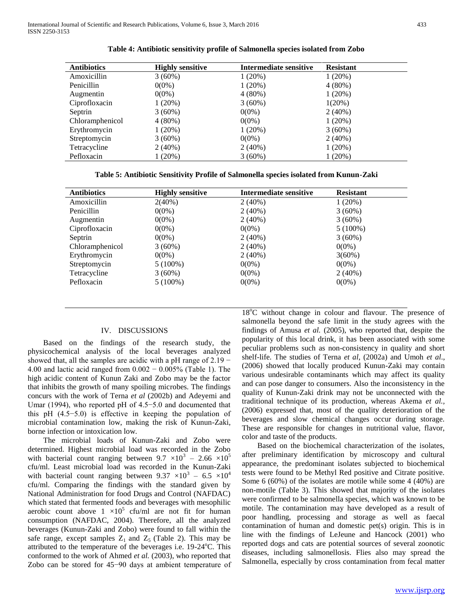| <b>Antibiotics</b> | <b>Highly sensitive</b> | Intermediate sensitive | <b>Resistant</b> |
|--------------------|-------------------------|------------------------|------------------|
| Amoxicillin        | $3(60\%)$               | $1(20\%)$              | $1(20\%)$        |
| Penicillin         | $0(0\%)$                | $1(20\%)$              | $4(80\%)$        |
| Augmentin          | $0(0\%)$                | $4(80\%)$              | $1(20\%)$        |
| Ciprofloxacin      | $1(20\%)$               | $3(60\%)$              | $1(20\%)$        |
| Septrin            | $3(60\%)$               | $0(0\%)$               | $2(40\%)$        |
| Chloramphenicol    | $4(80\%)$               | $0(0\%)$               | $1(20\%)$        |
| Erythromycin       | $1(20\%)$               | $1(20\%)$              | $3(60\%)$        |
| Streptomycin       | $3(60\%)$               | $0(0\%)$               | $2(40\%)$        |
| Tetracycline       | $2(40\%)$               | $2(40\%)$              | $1(20\%)$        |
| Pefloxacin         | $1(20\%)$               | $3(60\%)$              | $1(20\%)$        |

**Table 4: Antibiotic sensitivity profile of Salmonella species isolated from Zobo**

**Table 5: Antibiotic Sensitivity Profile of Salmonella species isolated from Kunun-Zaki**

| <b>Antibiotics</b> | <b>Highly sensitive</b> | Intermediate sensitive | <b>Resistant</b> |
|--------------------|-------------------------|------------------------|------------------|
| Amoxicillin        | $2(40\%)$               | $2(40\%)$              | $1(20\%)$        |
| Penicillin         | $0(0\%)$                | 2(40%)                 | $3(60\%)$        |
| Augmentin          | $0(0\%)$                | 2(40%)                 | $3(60\%)$        |
| Ciprofloxacin      | $0(0\%)$                | $0(0\%)$               | $5(100\%)$       |
| Septrin            | $0(0\%)$                | $2(40\%)$              | $3(60\%)$        |
| Chloramphenicol    | $3(60\%)$               | 2(40%)                 | $0(0\%)$         |
| Erythromycin       | $0(0\%)$                | 2(40%)                 | $3(60\%)$        |
| Streptomycin       | $5(100\%)$              | $0(0\%)$               | $0(0\%)$         |
| Tetracycline       | $3(60\%)$               | $0(0\%)$               | $2(40\%)$        |
| Pefloxacin         | $5(100\%)$              | $0(0\%)$               | $0(0\%)$         |

# IV. DISCUSSIONS

 Based on the findings of the research study, the physicochemical analysis of the local beverages analyzed showed that, all the samples are acidic with a pH range of 2.19 − 4.00 and lactic acid ranged from 0.002 − 0.005% (Table 1). The high acidic content of Kunun Zaki and Zobo may be the factor that inhibits the growth of many spoiling microbes. The findings concurs with the work of Terna *et al* (2002b) and Adeyemi and Umar (1994), who reported pH of 4.5−5.0 and documented that this pH (4.5−5.0) is effective in keeping the population of microbial contamination low, making the risk of Kunun-Zaki, borne infection or intoxication low.

 The microbial loads of Kunun-Zaki and Zobo were determined. Highest microbial load was recorded in the Zobo with bacterial count ranging between  $9.7 \times 10^3 - 2.66 \times 10^5$ cfu/ml. Least microbial load was recorded in the Kunun-Zaki with bacterial count ranging between 9.37  $\times 10^3 - 6.5 \times 10^4$ cfu/ml. Comparing the findings with the standard given by National Administration for food Drugs and Control (NAFDAC) which stated that fermented foods and beverages with mesophilic aerobic count above  $1 \times 10^5$  cfu/ml are not fit for human consumption (NAFDAC, 2004). Therefore, all the analyzed beverages (Kunun-Zaki and Zobo) were found to fall within the safe range, except samples  $Z_1$  and  $Z_5$  (Table 2). This may be attributed to the temperature of the beverages i.e.  $19-24^{\circ}$ C. This conformed to the work of Ahmed *et al.* (2003), who reported that Zobo can be stored for 45−90 days at ambient temperature of

18<sup>o</sup>C without change in colour and flavour. The presence of salmonella beyond the safe limit in the study agrees with the findings of Amusa *et al.* (2005), who reported that, despite the popularity of this local drink, it has been associated with some peculiar problems such as non-consistency in quality and short shelf-life. The studies of Terna *et al*, (2002a) and Umoh *et al*., (2006) showed that locally produced Kunun-Zaki may contain various undesirable contaminants which may affect its quality and can pose danger to consumers. Also the inconsistency in the quality of Kunun-Zaki drink may not be unconnected with the traditional technique of its production, whereas Akema *et al.,*  (2006) expressed that, most of the quality deterioration of the beverages and slow chemical changes occur during storage. These are responsible for changes in nutritional value, flavor, color and taste of the products.

 Based on the biochemical characterization of the isolates, after preliminary identification by microscopy and cultural appearance, the predominant isolates subjected to biochemical tests were found to be Methyl Red positive and Citrate positive. Some 6 (60%) of the isolates are motile while some 4 (40%) are non-motile (Table 3). This showed that majority of the isolates were confirmed to be salmonella species, which was known to be motile. The contamination may have developed as a result of poor handling, processing and storage as well as faecal contamination of human and domestic pet(s) origin. This is in line with the findings of LeJeune and Hancock (2001) who reported dogs and cats are potential sources of several zoonotic diseases, including salmonellosis. Flies also may spread the Salmonella, especially by cross contamination from fecal matter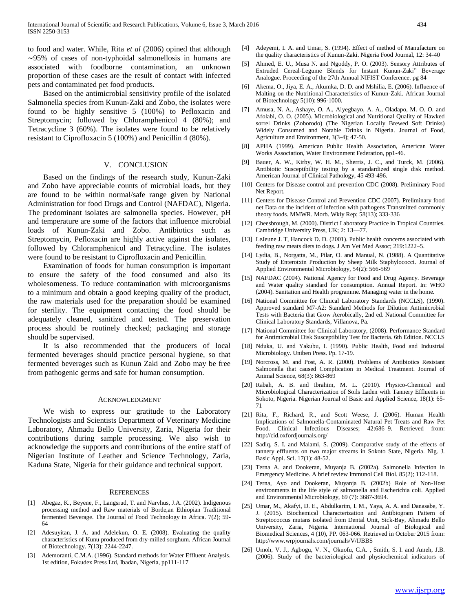to food and water. While, Rita *et al* (2006) opined that although ∼95% of cases of non-typhoidal salmonellosis in humans are associated with foodborne contamination, an unknown proportion of these cases are the result of contact with infected pets and contaminated pet food products.

 Based on the antimicrobial sensitivity profile of the isolated Salmonella species from Kunun-Zaki and Zobo, the isolates were found to be highly sensitive 5 (100%) to Pefloxacin and Streptomycin; followed by Chloramphenicol 4 (80%); and Tetracycline 3 (60%). The isolates were found to be relatively resistant to Ciprofloxacin 5 (100%) and Penicillin 4 (80%).

#### V. CONCLUSION

 Based on the findings of the research study, Kunun-Zaki and Zobo have appreciable counts of microbial loads, but they are found to be within normal/safe range given by National Administration for food Drugs and Control (NAFDAC), Nigeria. The predominant isolates are salmonella species. However, pH and temperature are some of the factors that influence microbial loads of Kunun-Zaki and Zobo. Antibiotics such as Streptomycin, Pefloxacin are highly active against the isolates, followed by Chloramphenicol and Tetracycline. The isolates were found to be resistant to Ciprofloxacin and Penicillin.

 Examination of foods for human consumption is important to ensure the safety of the food consumed and also its wholesomeness. To reduce contamination with microorganisms to a minimum and obtain a good keeping quality of the product, the raw materials used for the preparation should be examined for sterility. The equipment contacting the food should be adequately cleaned, sanitized and tested. The preservation process should be routinely checked; packaging and storage should be supervised.

 It is also recommended that the producers of local fermented beverages should practice personal hygiene, so that fermented beverages such as Kunun Zaki and Zobo may be free from pathogenic germs and safe for human consumption.

#### ACKNOWLEDGMENT

 We wish to express our gratitude to the Laboratory Technologists and Scientists Department of Veterinary Medicine Laboratory, Ahmadu Bello University, Zaria, Nigeria for their contributions during sample processing. We also wish to acknowledge the supports and contributions of the entire staff of Nigerian Institute of Leather and Science Technology, Zaria, Kaduna State, Nigeria for their guidance and technical support.

#### **REFERENCES**

- [1] Abegaz, K., Beyene, F., Langsrud, T. and Narvhus, J.A. (2002). Indigenous processing method and Raw materials of Borde,an Ethiopian Traditional fermented Beverage. The Journal of Food Technology in Africa. 7(2); 59- 64
- [2] Adesuyitan, J. A. and Adelekun, O. E. (2008). Evaluating the quality characteristics of Kunu produced from dry-milled sorghum. African Journal of Biotechnology. 7(13): 2244-2247.
- [3] Ademoranti, C.M.A. (1996). Standard methods for Water Effluent Analysis. 1st edition, Fokudex Press Ltd, Ibadan, Nigeria, pp111-117
- [4] Adeyemi, I. A. and Umar, S. (1994). Effect of method of Manufacture on the quality characteristics of Kunun-Zaki. Nigeria Food Journal, 12: 34-40
- [5] Ahmed, E. U., Musa N. and Ngoddy, P. O. (2003). Sensory Attributes of Extruded Cereal-Legume Blends for Instant Kunun-Zaki" Beverage Analogue. Proceeding of the 27th Annual NIFIST Conference. pg 84
- [6] Akema, O., Jiya, E. A., Akumka, D. D. and Mshilia, E. (2006). Influence of Malting on the Nutritional Characteristics of Kunun-Zaki. African Journal of Biotechnology 5(10): 996-1000.
- [7] Amusa, N. A., Ashaye, O. A., Aiyegbayo, A. A., Oladapo, M. O. O. and Afolabi, O. O. (2005). Microbiological and Nutritional Quality of Hawked sorrel Drinks (Zoborodo) (The Nigerian Locally Brewed Soft Drinks) Widely Consumed and Notable Drinks in Nigeria. Journal of Food, Agriculture and Environment, 3(3-4); 47-50.
- [8] APHA (1999). American Public Health Association, American Water Works Association, Water Environment Federation, pp1-46.
- [9] Bauer, A. W., Kirby, W. H. M., Sherris, J. C., and Turck, M. (2006). Antibiotic Susceptibility testing by a standardized single disk method. American Journal of Clinical Pathology, 45 493-496.
- [10] Centers for Disease control and prevention CDC (2008). Preliminary Food Net Report.
- [11] Centers for Disease Control and Prevention CDC (2007). Preliminary food net Data on the incident of infection with pathogens Transmitted commonly theory foods. MMWR. Morb. Wkly Rep; 58(13); 333-336
- [12] Cheesbrough, M. (2000). District Laboratory Practice in Tropical Countries. Cambridge University Press, UK; 2: 13—77.
- [13] LeJeune J. T, Hancock D. D. (2001). Public health concerns associated with feeding raw meats diets to dogs. J Am Vet Med Assoc; 219:1222–5.
- [14] Lydia, B., Norgatta, M., Pilar, O. and Manual, N. (1988). A Quantitative Study of Enterotxin Production by Sheep Milk Staphylococci. Journal of Applied Environmental Microbiology, 54(2): 566-569
- [15] NAFDAC (2004). National Agency for Food and Drug Agency. Beverage and Water quality standard for consumption. Annual Report. In: WHO (2004). Sanitation and Health programme. Managing water in the home.
- [16] National Committee for Clinical Laboratory Standards (NCCLS), (1990). Approved standard M7-A2: Standard Methods for Dilution Antimicrobial Tests with Bacteria that Grow Aerobically, 2nd ed. National Committee for Clinical Laboratory Standards, Villanova, Pa.
- [17] National Committee for Clinical Laboratory, (2008). Performance Standard for Antimicrobial Disk Susceptibility Test for Bacteria. 6th Edition. NCCLS
- [18] Nduka, U. and Yakubu, I. (1990). Public Health, Food and Industrial Microbiology. Uniben Press. Pp. 17-19.
- [19] Norcross, M. and Post, A. R. (2000). Problems of Antibiotics Resistant Salmonella that caused Complication in Medical Treatment. Journal of Animal Science, 68(3): 863-869
- [20] Rabah, A. B. and Ibrahim, M. L. (2010). Physico-Chemical and Microbiological Characterization of Soils Laden with Tannery Effluents in Sokoto, Nigeria. Nigerian Journal of Basic and Applied Science, 18(1): 65- 71
- [21] Rita, F., Richard, R., and Scott Weese, J. (2006). Human Health Implications of Salmonella-Contaminated Natural Pet Treats and Raw Pet Food. Clinical Infectious Diseases; 42:686–9. Retrieved from: http://cid.oxfordjournals.org/
- [22] Sadiq, S. I. and Malami, S. (2009). Comparative study of the effects of tannery effluents on two major streams in Sokoto State, Nigeria. Nig. J. Basic Appl. Sci. 17(1): 48-52.
- [23] Terna A. and Dookeran, Muyanja B. (2002a). Salmonella Infection in Emergency Medicine. A brief review Immunol Cell Biol. 85(2); 112-118.
- [24] Terna, Ayo and Dookeran, Muyanja B. (2002b) Role of Non-Host environments in the life style of salmonella and Escherichia coli. Applied and Environmental Microbiology, 69 (7): 3687-3694.
- [25] Umar, M., Akafyi, D. E., Abdulkarim, I. M., Yaya, A. A. and Danasabe, Y. J. (2015). Biochemical Characterization and Antibiogram Pattern of Streptococcus mutans isolated from Dental Unit, Sick-Bay, Ahmadu Bello University, Zaria, Nigeria. International Journal of Biological and Biomedical Sciences, 4 (10), PP. 063-066. Retrieved in October 2015 from: http://www.wrpjournals.com/journals/V/IJBBS
- [26] Umoh, V. J., Agbogu, V. N., Okuofu, C.A. , Smith, S. I. and Ameh, J.B. (2006). Study of the bacteriological and physiochemical indicators of